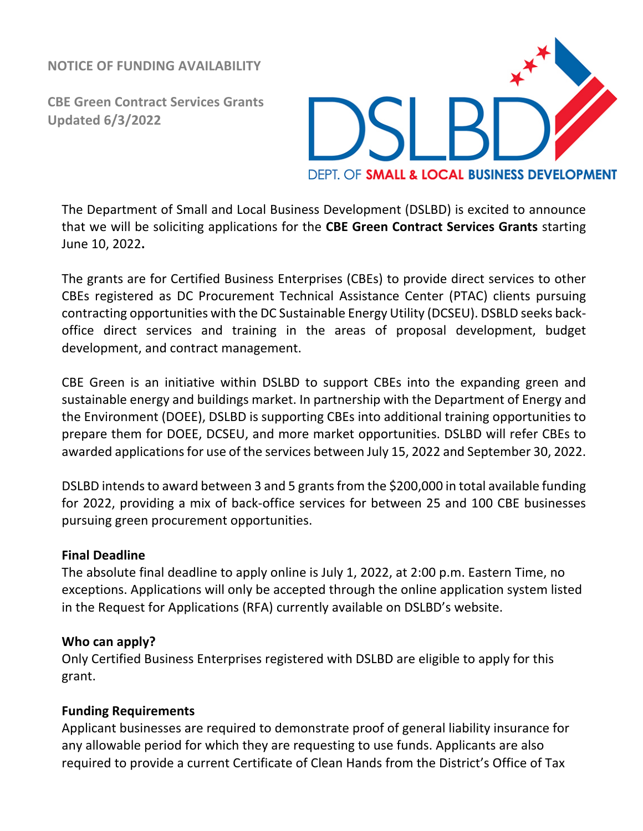**NOTICE OF FUNDING AVAILABILITY**

**CBE Green Contract Services Grants Updated 6/3/2022**



The Department of Small and Local Business Development (DSLBD) is excited to announce that we will be soliciting applications for the **CBE Green Contract Services Grants** starting June 10, 2022**.** 

The grants are for Certified Business Enterprises (CBEs) to provide direct services to other CBEs registered as DC Procurement Technical Assistance Center (PTAC) clients pursuing contracting opportunities with the DC Sustainable Energy Utility (DCSEU). DSBLD seeks backoffice direct services and training in the areas of proposal development, budget development, and contract management.

CBE Green is an initiative within DSLBD to support CBEs into the expanding green and sustainable energy and buildings market. In partnership with the Department of Energy and the Environment (DOEE), DSLBD is supporting CBEs into additional training opportunities to prepare them for DOEE, DCSEU, and more market opportunities. DSLBD will refer CBEs to awarded applications for use of the services between July 15, 2022 and September 30, 2022.

DSLBD intends to award between 3 and 5 grants from the \$200,000 in total available funding for 2022, providing a mix of back-office services for between 25 and 100 CBE businesses pursuing green procurement opportunities.

#### **Final Deadline**

The absolute final deadline to apply online is July 1, 2022, at 2:00 p.m. Eastern Time, no exceptions. Applications will only be accepted through the online application system listed in the Request for Applications (RFA) currently available on DSLBD's website.

#### **Who can apply?**

Only Certified Business Enterprises registered with DSLBD are eligible to apply for this grant.

### **Funding Requirements**

Applicant businesses are required to demonstrate proof of general liability insurance for any allowable period for which they are requesting to use funds. Applicants are also required to provide a current Certificate of Clean Hands from the District's Office of Tax